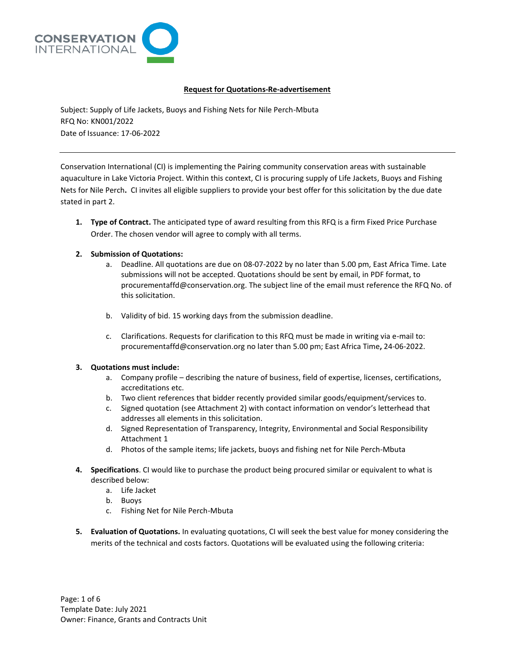

# **Request for Quotations-Re-advertisement**

Subject: Supply of Life Jackets, Buoys and Fishing Nets for Nile Perch-Mbuta RFQ No: KN001/2022 Date of Issuance: 17-06-2022

Conservation International (CI) is implementing the Pairing community conservation areas with sustainable aquaculture in Lake Victoria Project. Within this context, CI is procuring supply of Life Jackets, Buoys and Fishing Nets for Nile Perch**.** CI invites all eligible suppliers to provide your best offer for this solicitation by the due date stated in part 2.

**1. Type of Contract.** The anticipated type of award resulting from this RFQ is a firm Fixed Price Purchase Order. The chosen vendor will agree to comply with all terms.

# **2. Submission of Quotations:**

- a. Deadline. All quotations are due on 08-07-2022 by no later than 5.00 pm, East Africa Time. Late submissions will not be accepted. Quotations should be sent by email, in PDF format, to procurementaffd@conservation.org. The subject line of the email must reference the RFQ No. of this solicitation.
- b. Validity of bid. 15 working days from the submission deadline.
- c. Clarifications. Requests for clarification to this RFQ must be made in writing via e-mail to: procurementaffd@conservation.org no later than 5.00 pm; East Africa Time**,** 24-06-2022.

# **3. Quotations must include:**

- a. Company profile describing the nature of business, field of expertise, licenses, certifications, accreditations etc.
- b. Two client references that bidder recently provided similar goods/equipment/services to.
- c. Signed quotation (see Attachment 2) with contact information on vendor's letterhead that addresses all elements in this solicitation.
- d. Signed Representation of Transparency, Integrity, Environmental and Social Responsibility Attachment 1
- d. Photos of the sample items; life jackets, buoys and fishing net for Nile Perch-Mbuta
- **4. Specifications**. CI would like to purchase the product being procured similar or equivalent to what is described below:
	- a. Life Jacket
	- b. Buoys
	- c. Fishing Net for Nile Perch-Mbuta
- **5. Evaluation of Quotations.** In evaluating quotations, CI will seek the best value for money considering the merits of the technical and costs factors. Quotations will be evaluated using the following criteria: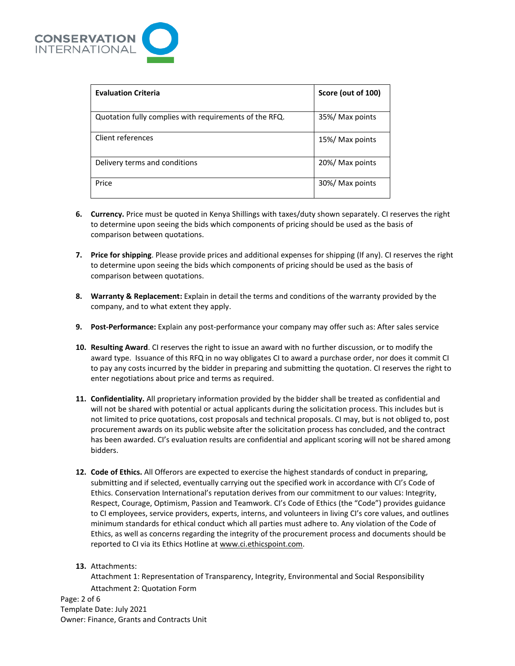

| <b>Evaluation Criteria</b>                             | Score (out of 100) |
|--------------------------------------------------------|--------------------|
| Quotation fully complies with requirements of the RFQ. | 35%/ Max points    |
| Client references                                      | 15%/ Max points    |
| Delivery terms and conditions                          | 20%/ Max points    |
| Price                                                  | 30%/ Max points    |

- **6. Currency.** Price must be quoted in Kenya Shillings with taxes/duty shown separately. CI reserves the right to determine upon seeing the bids which components of pricing should be used as the basis of comparison between quotations.
- **7. Price for shipping**. Please provide prices and additional expenses for shipping (If any). CI reserves the right to determine upon seeing the bids which components of pricing should be used as the basis of comparison between quotations.
- **8. Warranty & Replacement:** Explain in detail the terms and conditions of the warranty provided by the company, and to what extent they apply.
- **9. Post-Performance:** Explain any post-performance your company may offer such as: After sales service
- **10. Resulting Award**. CI reserves the right to issue an award with no further discussion, or to modify the award type. Issuance of this RFQ in no way obligates CI to award a purchase order, nor does it commit CI to pay any costs incurred by the bidder in preparing and submitting the quotation. CI reserves the right to enter negotiations about price and terms as required.
- **11. Confidentiality.** All proprietary information provided by the bidder shall be treated as confidential and will not be shared with potential or actual applicants during the solicitation process. This includes but is not limited to price quotations, cost proposals and technical proposals. CI may, but is not obliged to, post procurement awards on its public website after the solicitation process has concluded, and the contract has been awarded. CI's evaluation results are confidential and applicant scoring will not be shared among bidders.
- **12. Code of Ethics.** All Offerors are expected to exercise the highest standards of conduct in preparing, submitting and if selected, eventually carrying out the specified work in accordance with CI's Code of Ethics. Conservation International's reputation derives from our commitment to our values: Integrity, Respect, Courage, Optimism, Passion and Teamwork. CI's Code of Ethics (the "Code") provides guidance to CI employees, service providers, experts, interns, and volunteers in living CI's core values, and outlines minimum standards for ethical conduct which all parties must adhere to. Any violation of the Code of Ethics, as well as concerns regarding the integrity of the procurement process and documents should be reported to CI via its Ethics Hotline a[t www.ci.ethicspoint.com.](http://www.ci.ethicspoint.com/)
- **13.** Attachments:

Attachment 1: Representation of Transparency, Integrity, Environmental and Social Responsibility Attachment 2: Quotation Form

Page: 2 of 6 Template Date: July 2021 Owner: Finance, Grants and Contracts Unit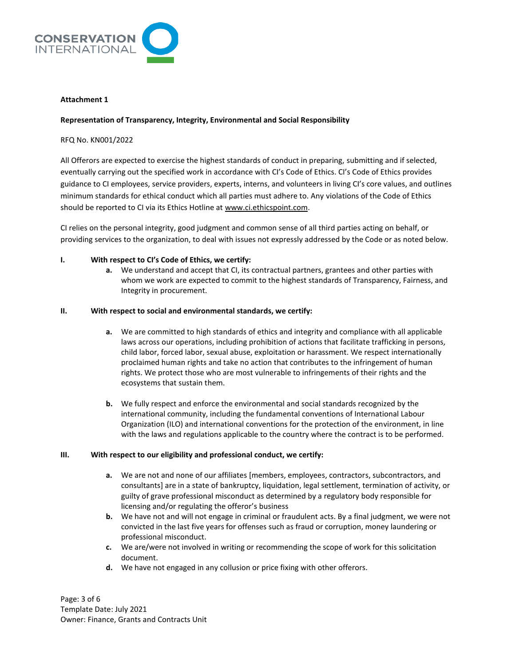

### **Attachment 1**

### **Representation of Transparency, Integrity, Environmental and Social Responsibility**

### RFQ No. KN001/2022

All Offerors are expected to exercise the highest standards of conduct in preparing, submitting and if selected, eventually carrying out the specified work in accordance with CI's Code of Ethics. CI's Code of Ethics provides guidance to CI employees, service providers, experts, interns, and volunteers in living CI's core values, and outlines minimum standards for ethical conduct which all parties must adhere to. Any violations of the Code of Ethics should be reported to CI via its Ethics Hotline a[t www.ci.ethicspoint.com.](http://www.ci.ethicspoint.com/)

CI relies on the personal integrity, good judgment and common sense of all third parties acting on behalf, or providing services to the organization, to deal with issues not expressly addressed by the Code or as noted below.

## **I. With respect to CI's Code of Ethics, we certify:**

**a.** We understand and accept that CI, its contractual partners, grantees and other parties with whom we work are expected to commit to the highest standards of Transparency, Fairness, and Integrity in procurement.

#### **II. With respect to social and environmental standards, we certify:**

- **a.** We are committed to high standards of ethics and integrity and compliance with all applicable laws across our operations, including prohibition of actions that facilitate trafficking in persons*,* child labor, forced labor, sexual abuse, exploitation or harassment. We respect internationally proclaimed human rights and take no action that contributes to the infringement of human rights. We protect those who are most vulnerable to infringements of their rights and the ecosystems that sustain them.
- **b.** We fully respect and enforce the environmental and social standards recognized by the international community, including the fundamental conventions of International Labour Organization (ILO) and international conventions for the protection of the environment, in line with the laws and regulations applicable to the country where the contract is to be performed.

#### **III. With respect to our eligibility and professional conduct, we certify:**

- **a.** We are not and none of our affiliates [members, employees, contractors, subcontractors, and consultants] are in a state of bankruptcy, liquidation, legal settlement, termination of activity, or guilty of grave professional misconduct as determined by a regulatory body responsible for licensing and/or regulating the offeror's business
- **b.** We have not and will not engage in criminal or fraudulent acts. By a final judgment, we were not convicted in the last five years for offenses such as fraud or corruption, money laundering or professional misconduct.
- **c.** We are/were not involved in writing or recommending the scope of work for this solicitation document.
- **d.** We have not engaged in any collusion or price fixing with other offerors.

Page: 3 of 6 Template Date: July 2021 Owner: Finance, Grants and Contracts Unit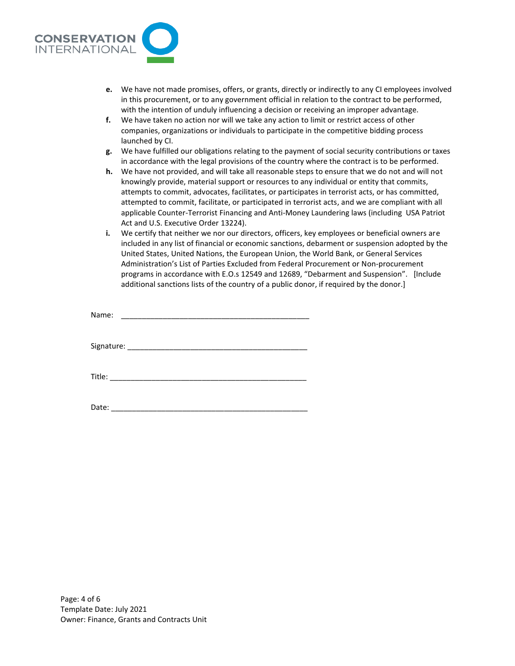

- **e.** We have not made promises, offers, or grants, directly or indirectly to any CI employees involved in this procurement, or to any government official in relation to the contract to be performed, with the intention of unduly influencing a decision or receiving an improper advantage.
- **f.** We have taken no action nor will we take any action to limit or restrict access of other companies, organizations or individuals to participate in the competitive bidding process launched by CI.
- **g.** We have fulfilled our obligations relating to the payment of social security contributions or taxes in accordance with the legal provisions of the country where the contract is to be performed.
- **h.** We have not provided, and will take all reasonable steps to ensure that we do not and will not knowingly provide, material support or resources to any individual or entity that commits, attempts to commit, advocates, facilitates, or participates in terrorist acts, or has committed, attempted to commit, facilitate, or participated in terrorist acts, and we are compliant with all applicable Counter-Terrorist Financing and Anti-Money Laundering laws (including USA Patriot Act and U.S. Executive Order 13224).
- **i.** We certify that neither we nor our directors, officers, key employees or beneficial owners are included in any list of financial or economic sanctions, debarment or suspension adopted by the United States, United Nations, the European Union, the World Bank, or General Services Administration's List of Parties Excluded from Federal Procurement or Non-procurement programs in accordance with E.O.s 12549 and 12689, "Debarment and Suspension". [Include additional sanctions lists of the country of a public donor, if required by the donor.]

Name:  $\Box$ 

Signature: \_\_\_\_\_\_\_\_\_\_\_\_\_\_\_\_\_\_\_\_\_\_\_\_\_\_\_\_\_\_\_\_\_\_\_\_\_\_\_\_\_\_\_

Title:

Date:  $\Box$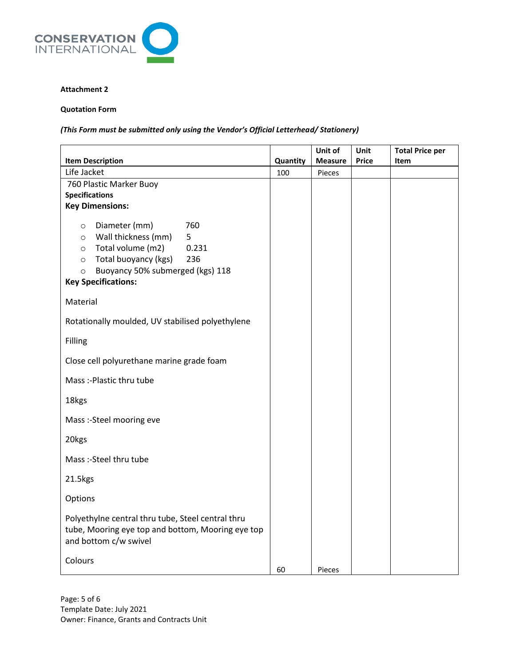

## **Attachment 2**

## **Quotation Form**

*(This Form must be submitted only using the Vendor's Official Letterhead/ Stationery)*

|                                                                                                                                                                                                                                        |                 | Unit of                  | Unit<br><b>Price</b> | <b>Total Price per</b> |
|----------------------------------------------------------------------------------------------------------------------------------------------------------------------------------------------------------------------------------------|-----------------|--------------------------|----------------------|------------------------|
| <b>Item Description</b><br>Life Jacket                                                                                                                                                                                                 | Quantity<br>100 | <b>Measure</b><br>Pieces |                      | <b>Item</b>            |
| 760 Plastic Marker Buoy<br><b>Specifications</b><br><b>Key Dimensions:</b>                                                                                                                                                             |                 |                          |                      |                        |
| Diameter (mm)<br>760<br>$\circ$<br>Wall thickness (mm)<br>5<br>$\circ$<br>Total volume (m2)<br>0.231<br>$\circ$<br>Total buoyancy (kgs)<br>236<br>$\circ$<br>Buoyancy 50% submerged (kgs) 118<br>$\circ$<br><b>Key Specifications:</b> |                 |                          |                      |                        |
| Material                                                                                                                                                                                                                               |                 |                          |                      |                        |
| Rotationally moulded, UV stabilised polyethylene                                                                                                                                                                                       |                 |                          |                      |                        |
| Filling                                                                                                                                                                                                                                |                 |                          |                      |                        |
| Close cell polyurethane marine grade foam                                                                                                                                                                                              |                 |                          |                      |                        |
| Mass :- Plastic thru tube                                                                                                                                                                                                              |                 |                          |                      |                        |
| 18kgs                                                                                                                                                                                                                                  |                 |                          |                      |                        |
| Mass :- Steel mooring eve                                                                                                                                                                                                              |                 |                          |                      |                        |
| 20kgs                                                                                                                                                                                                                                  |                 |                          |                      |                        |
| Mass :- Steel thru tube                                                                                                                                                                                                                |                 |                          |                      |                        |
| 21.5kgs                                                                                                                                                                                                                                |                 |                          |                      |                        |
| Options                                                                                                                                                                                                                                |                 |                          |                      |                        |
| Polyethylne central thru tube, Steel central thru<br>tube, Mooring eye top and bottom, Mooring eye top<br>and bottom c/w swivel                                                                                                        |                 |                          |                      |                        |
| Colours                                                                                                                                                                                                                                | 60              | Pieces                   |                      |                        |

Page: 5 of 6 Template Date: July 2021 Owner: Finance, Grants and Contracts Unit